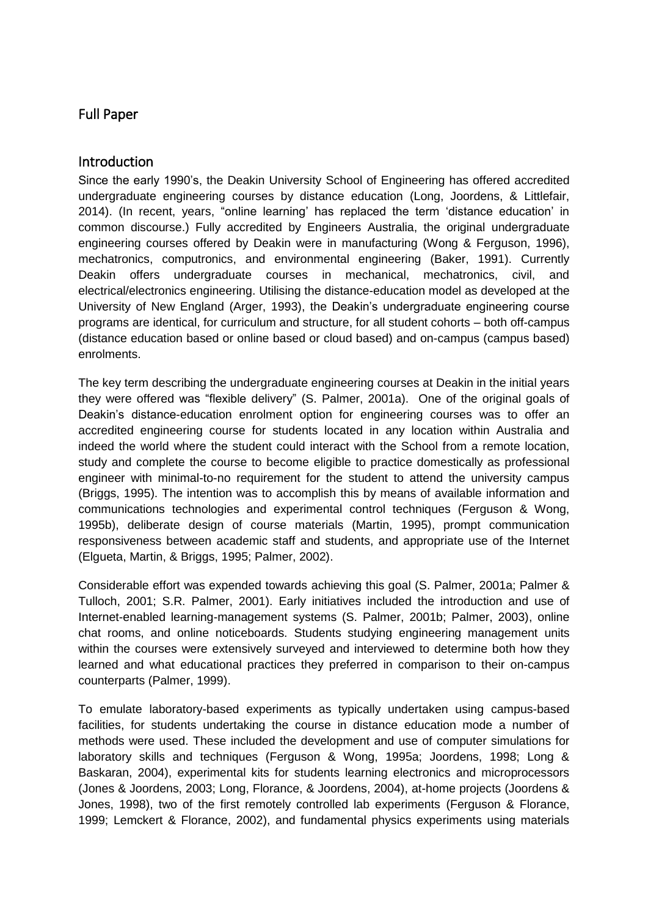# Full Paper

### **Introduction**

Since the early 1990's, the Deakin University School of Engineering has offered accredited undergraduate engineering courses by distance education (Long, Joordens, & Littlefair, 2014). (In recent, years, "online learning' has replaced the term 'distance education' in common discourse.) Fully accredited by Engineers Australia, the original undergraduate engineering courses offered by Deakin were in manufacturing (Wong & Ferguson, 1996), mechatronics, computronics, and environmental engineering (Baker, 1991). Currently Deakin offers undergraduate courses in mechanical, mechatronics, civil, and electrical/electronics engineering. Utilising the distance-education model as developed at the University of New England (Arger, 1993), the Deakin's undergraduate engineering course programs are identical, for curriculum and structure, for all student cohorts – both off-campus (distance education based or online based or cloud based) and on-campus (campus based) enrolments.

The key term describing the undergraduate engineering courses at Deakin in the initial years they were offered was "flexible delivery" (S. Palmer, 2001a). One of the original goals of Deakin's distance-education enrolment option for engineering courses was to offer an accredited engineering course for students located in any location within Australia and indeed the world where the student could interact with the School from a remote location, study and complete the course to become eligible to practice domestically as professional engineer with minimal-to-no requirement for the student to attend the university campus (Briggs, 1995). The intention was to accomplish this by means of available information and communications technologies and experimental control techniques (Ferguson & Wong, 1995b), deliberate design of course materials (Martin, 1995), prompt communication responsiveness between academic staff and students, and appropriate use of the Internet (Elgueta, Martin, & Briggs, 1995; Palmer, 2002).

Considerable effort was expended towards achieving this goal (S. Palmer, 2001a; Palmer & Tulloch, 2001; S.R. Palmer, 2001). Early initiatives included the introduction and use of Internet-enabled learning-management systems (S. Palmer, 2001b; Palmer, 2003), online chat rooms, and online noticeboards. Students studying engineering management units within the courses were extensively surveyed and interviewed to determine both how they learned and what educational practices they preferred in comparison to their on-campus counterparts (Palmer, 1999).

To emulate laboratory-based experiments as typically undertaken using campus-based facilities, for students undertaking the course in distance education mode a number of methods were used. These included the development and use of computer simulations for laboratory skills and techniques (Ferguson & Wong, 1995a; Joordens, 1998; Long & Baskaran, 2004), experimental kits for students learning electronics and microprocessors (Jones & Joordens, 2003; Long, Florance, & Joordens, 2004), at-home projects (Joordens & Jones, 1998), two of the first remotely controlled lab experiments (Ferguson & Florance, 1999; Lemckert & Florance, 2002), and fundamental physics experiments using materials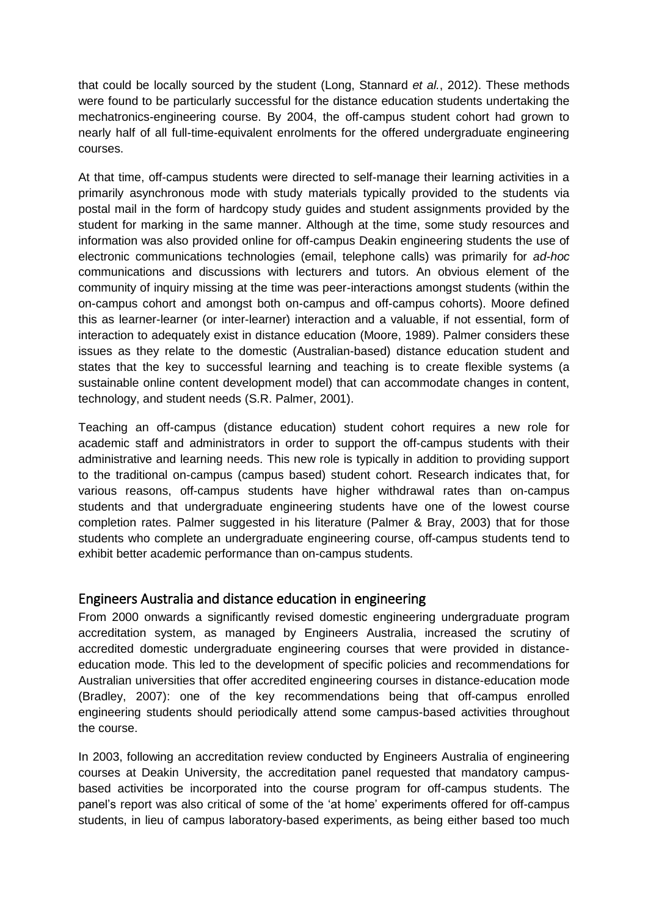that could be locally sourced by the student (Long, Stannard *et al.*, 2012). These methods were found to be particularly successful for the distance education students undertaking the mechatronics-engineering course. By 2004, the off-campus student cohort had grown to nearly half of all full-time-equivalent enrolments for the offered undergraduate engineering courses.

At that time, off-campus students were directed to self-manage their learning activities in a primarily asynchronous mode with study materials typically provided to the students via postal mail in the form of hardcopy study guides and student assignments provided by the student for marking in the same manner. Although at the time, some study resources and information was also provided online for off-campus Deakin engineering students the use of electronic communications technologies (email, telephone calls) was primarily for *ad-hoc* communications and discussions with lecturers and tutors. An obvious element of the community of inquiry missing at the time was peer-interactions amongst students (within the on-campus cohort and amongst both on-campus and off-campus cohorts). Moore defined this as learner-learner (or inter-learner) interaction and a valuable, if not essential, form of interaction to adequately exist in distance education (Moore, 1989). Palmer considers these issues as they relate to the domestic (Australian-based) distance education student and states that the key to successful learning and teaching is to create flexible systems (a sustainable online content development model) that can accommodate changes in content, technology, and student needs (S.R. Palmer, 2001).

Teaching an off-campus (distance education) student cohort requires a new role for academic staff and administrators in order to support the off-campus students with their administrative and learning needs. This new role is typically in addition to providing support to the traditional on-campus (campus based) student cohort. Research indicates that, for various reasons, off-campus students have higher withdrawal rates than on-campus students and that undergraduate engineering students have one of the lowest course completion rates. Palmer suggested in his literature (Palmer & Bray, 2003) that for those students who complete an undergraduate engineering course, off-campus students tend to exhibit better academic performance than on-campus students.

## Engineers Australia and distance education in engineering

From 2000 onwards a significantly revised domestic engineering undergraduate program accreditation system, as managed by Engineers Australia, increased the scrutiny of accredited domestic undergraduate engineering courses that were provided in distanceeducation mode. This led to the development of specific policies and recommendations for Australian universities that offer accredited engineering courses in distance-education mode (Bradley, 2007): one of the key recommendations being that off-campus enrolled engineering students should periodically attend some campus-based activities throughout the course.

In 2003, following an accreditation review conducted by Engineers Australia of engineering courses at Deakin University, the accreditation panel requested that mandatory campusbased activities be incorporated into the course program for off-campus students. The panel's report was also critical of some of the 'at home' experiments offered for off-campus students, in lieu of campus laboratory-based experiments, as being either based too much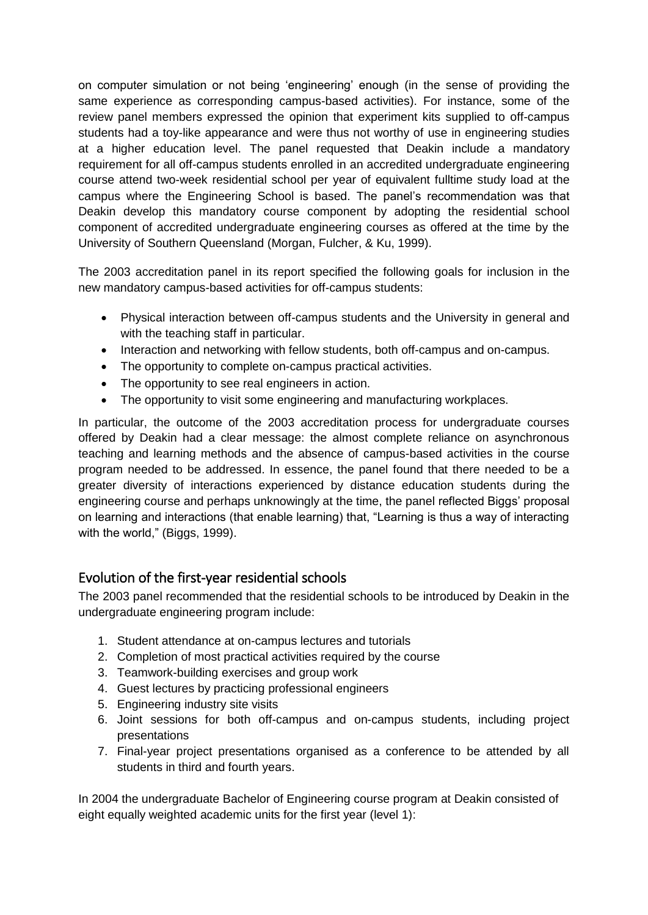on computer simulation or not being 'engineering' enough (in the sense of providing the same experience as corresponding campus-based activities). For instance, some of the review panel members expressed the opinion that experiment kits supplied to off-campus students had a toy-like appearance and were thus not worthy of use in engineering studies at a higher education level. The panel requested that Deakin include a mandatory requirement for all off-campus students enrolled in an accredited undergraduate engineering course attend two-week residential school per year of equivalent fulltime study load at the campus where the Engineering School is based. The panel's recommendation was that Deakin develop this mandatory course component by adopting the residential school component of accredited undergraduate engineering courses as offered at the time by the University of Southern Queensland (Morgan, Fulcher, & Ku, 1999).

The 2003 accreditation panel in its report specified the following goals for inclusion in the new mandatory campus-based activities for off-campus students:

- Physical interaction between off-campus students and the University in general and with the teaching staff in particular.
- Interaction and networking with fellow students, both off-campus and on-campus.
- The opportunity to complete on-campus practical activities.
- The opportunity to see real engineers in action.
- The opportunity to visit some engineering and manufacturing workplaces.

In particular, the outcome of the 2003 accreditation process for undergraduate courses offered by Deakin had a clear message: the almost complete reliance on asynchronous teaching and learning methods and the absence of campus-based activities in the course program needed to be addressed. In essence, the panel found that there needed to be a greater diversity of interactions experienced by distance education students during the engineering course and perhaps unknowingly at the time, the panel reflected Biggs' proposal on learning and interactions (that enable learning) that, "Learning is thus a way of interacting with the world," (Biggs, 1999).

## Evolution of the first-year residential schools

The 2003 panel recommended that the residential schools to be introduced by Deakin in the undergraduate engineering program include:

- 1. Student attendance at on-campus lectures and tutorials
- 2. Completion of most practical activities required by the course
- 3. Teamwork-building exercises and group work
- 4. Guest lectures by practicing professional engineers
- 5. Engineering industry site visits
- 6. Joint sessions for both off-campus and on-campus students, including project presentations
- 7. Final-year project presentations organised as a conference to be attended by all students in third and fourth years.

In 2004 the undergraduate Bachelor of Engineering course program at Deakin consisted of eight equally weighted academic units for the first year (level 1):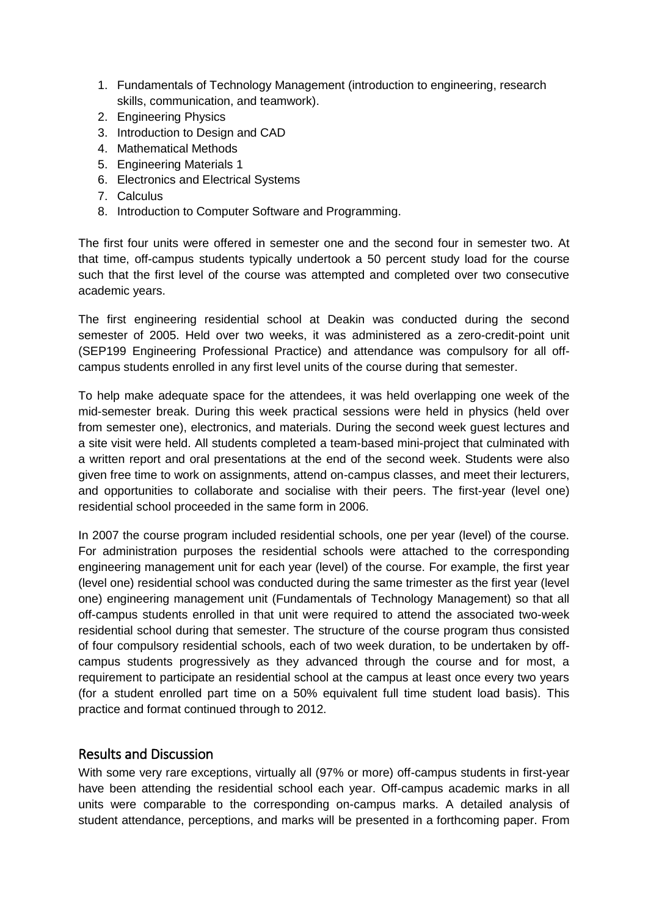- 1. Fundamentals of Technology Management (introduction to engineering, research skills, communication, and teamwork).
- 2. Engineering Physics
- 3. Introduction to Design and CAD
- 4. Mathematical Methods
- 5. Engineering Materials 1
- 6. Electronics and Electrical Systems
- 7. Calculus
- 8. Introduction to Computer Software and Programming.

The first four units were offered in semester one and the second four in semester two. At that time, off-campus students typically undertook a 50 percent study load for the course such that the first level of the course was attempted and completed over two consecutive academic years.

The first engineering residential school at Deakin was conducted during the second semester of 2005. Held over two weeks, it was administered as a zero-credit-point unit (SEP199 Engineering Professional Practice) and attendance was compulsory for all offcampus students enrolled in any first level units of the course during that semester.

To help make adequate space for the attendees, it was held overlapping one week of the mid-semester break. During this week practical sessions were held in physics (held over from semester one), electronics, and materials. During the second week guest lectures and a site visit were held. All students completed a team-based mini-project that culminated with a written report and oral presentations at the end of the second week. Students were also given free time to work on assignments, attend on-campus classes, and meet their lecturers, and opportunities to collaborate and socialise with their peers. The first-year (level one) residential school proceeded in the same form in 2006.

In 2007 the course program included residential schools, one per year (level) of the course. For administration purposes the residential schools were attached to the corresponding engineering management unit for each year (level) of the course. For example, the first year (level one) residential school was conducted during the same trimester as the first year (level one) engineering management unit (Fundamentals of Technology Management) so that all off-campus students enrolled in that unit were required to attend the associated two-week residential school during that semester. The structure of the course program thus consisted of four compulsory residential schools, each of two week duration, to be undertaken by offcampus students progressively as they advanced through the course and for most, a requirement to participate an residential school at the campus at least once every two years (for a student enrolled part time on a 50% equivalent full time student load basis). This practice and format continued through to 2012.

#### Results and Discussion

With some very rare exceptions, virtually all (97% or more) off-campus students in first-year have been attending the residential school each year. Off-campus academic marks in all units were comparable to the corresponding on-campus marks. A detailed analysis of student attendance, perceptions, and marks will be presented in a forthcoming paper. From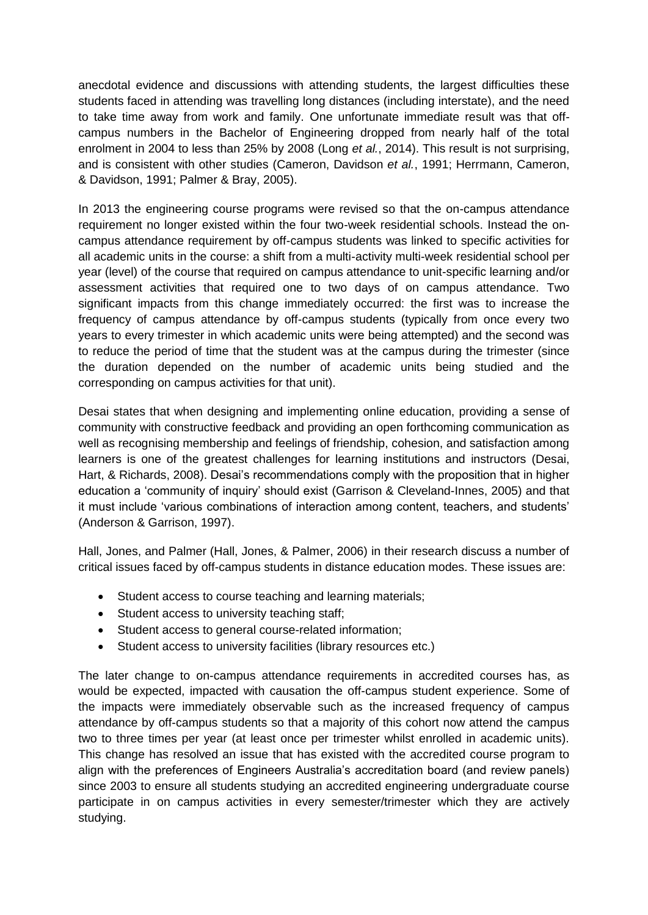anecdotal evidence and discussions with attending students, the largest difficulties these students faced in attending was travelling long distances (including interstate), and the need to take time away from work and family. One unfortunate immediate result was that offcampus numbers in the Bachelor of Engineering dropped from nearly half of the total enrolment in 2004 to less than 25% by 2008 (Long *et al.*, 2014). This result is not surprising, and is consistent with other studies (Cameron, Davidson *et al.*, 1991; Herrmann, Cameron, & Davidson, 1991; Palmer & Bray, 2005).

In 2013 the engineering course programs were revised so that the on-campus attendance requirement no longer existed within the four two-week residential schools. Instead the oncampus attendance requirement by off-campus students was linked to specific activities for all academic units in the course: a shift from a multi-activity multi-week residential school per year (level) of the course that required on campus attendance to unit-specific learning and/or assessment activities that required one to two days of on campus attendance. Two significant impacts from this change immediately occurred: the first was to increase the frequency of campus attendance by off-campus students (typically from once every two years to every trimester in which academic units were being attempted) and the second was to reduce the period of time that the student was at the campus during the trimester (since the duration depended on the number of academic units being studied and the corresponding on campus activities for that unit).

Desai states that when designing and implementing online education, providing a sense of community with constructive feedback and providing an open forthcoming communication as well as recognising membership and feelings of friendship, cohesion, and satisfaction among learners is one of the greatest challenges for learning institutions and instructors (Desai, Hart, & Richards, 2008). Desai's recommendations comply with the proposition that in higher education a 'community of inquiry' should exist (Garrison & Cleveland-Innes, 2005) and that it must include 'various combinations of interaction among content, teachers, and students' (Anderson & Garrison, 1997).

Hall, Jones, and Palmer (Hall, Jones, & Palmer, 2006) in their research discuss a number of critical issues faced by off-campus students in distance education modes. These issues are:

- Student access to course teaching and learning materials;
- Student access to university teaching staff;
- Student access to general course-related information;
- Student access to university facilities (library resources etc.)

The later change to on-campus attendance requirements in accredited courses has, as would be expected, impacted with causation the off-campus student experience. Some of the impacts were immediately observable such as the increased frequency of campus attendance by off-campus students so that a majority of this cohort now attend the campus two to three times per year (at least once per trimester whilst enrolled in academic units). This change has resolved an issue that has existed with the accredited course program to align with the preferences of Engineers Australia's accreditation board (and review panels) since 2003 to ensure all students studying an accredited engineering undergraduate course participate in on campus activities in every semester/trimester which they are actively studying.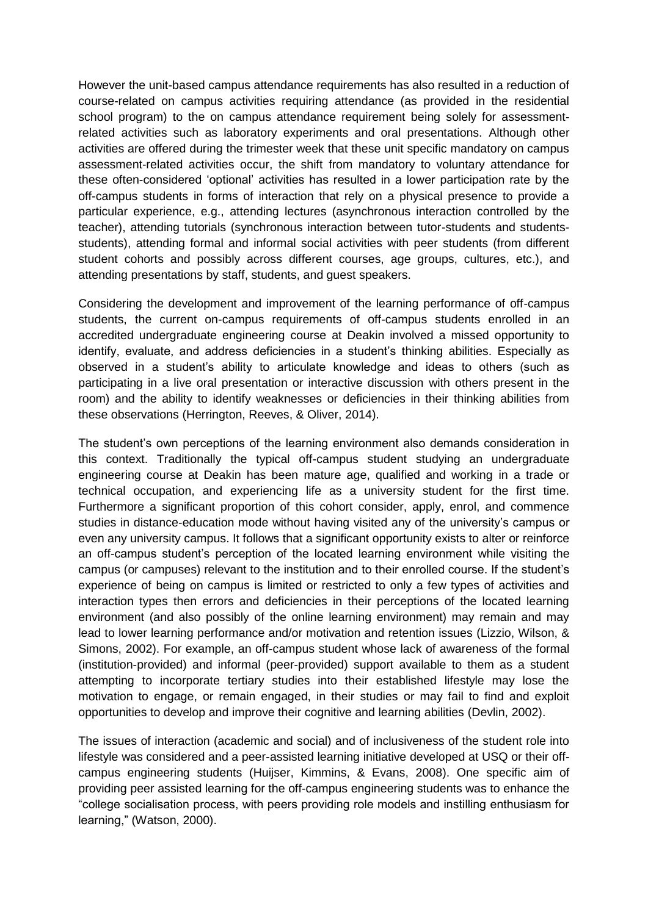However the unit-based campus attendance requirements has also resulted in a reduction of course-related on campus activities requiring attendance (as provided in the residential school program) to the on campus attendance requirement being solely for assessmentrelated activities such as laboratory experiments and oral presentations. Although other activities are offered during the trimester week that these unit specific mandatory on campus assessment-related activities occur, the shift from mandatory to voluntary attendance for these often-considered 'optional' activities has resulted in a lower participation rate by the off-campus students in forms of interaction that rely on a physical presence to provide a particular experience, e.g., attending lectures (asynchronous interaction controlled by the teacher), attending tutorials (synchronous interaction between tutor-students and studentsstudents), attending formal and informal social activities with peer students (from different student cohorts and possibly across different courses, age groups, cultures, etc.), and attending presentations by staff, students, and guest speakers.

Considering the development and improvement of the learning performance of off-campus students, the current on-campus requirements of off-campus students enrolled in an accredited undergraduate engineering course at Deakin involved a missed opportunity to identify, evaluate, and address deficiencies in a student's thinking abilities. Especially as observed in a student's ability to articulate knowledge and ideas to others (such as participating in a live oral presentation or interactive discussion with others present in the room) and the ability to identify weaknesses or deficiencies in their thinking abilities from these observations (Herrington, Reeves, & Oliver, 2014).

The student's own perceptions of the learning environment also demands consideration in this context. Traditionally the typical off-campus student studying an undergraduate engineering course at Deakin has been mature age, qualified and working in a trade or technical occupation, and experiencing life as a university student for the first time. Furthermore a significant proportion of this cohort consider, apply, enrol, and commence studies in distance-education mode without having visited any of the university's campus or even any university campus. It follows that a significant opportunity exists to alter or reinforce an off-campus student's perception of the located learning environment while visiting the campus (or campuses) relevant to the institution and to their enrolled course. If the student's experience of being on campus is limited or restricted to only a few types of activities and interaction types then errors and deficiencies in their perceptions of the located learning environment (and also possibly of the online learning environment) may remain and may lead to lower learning performance and/or motivation and retention issues (Lizzio, Wilson, & Simons, 2002). For example, an off-campus student whose lack of awareness of the formal (institution-provided) and informal (peer-provided) support available to them as a student attempting to incorporate tertiary studies into their established lifestyle may lose the motivation to engage, or remain engaged, in their studies or may fail to find and exploit opportunities to develop and improve their cognitive and learning abilities (Devlin, 2002).

The issues of interaction (academic and social) and of inclusiveness of the student role into lifestyle was considered and a peer-assisted learning initiative developed at USQ or their offcampus engineering students (Huijser, Kimmins, & Evans, 2008). One specific aim of providing peer assisted learning for the off-campus engineering students was to enhance the "college socialisation process, with peers providing role models and instilling enthusiasm for learning," (Watson, 2000).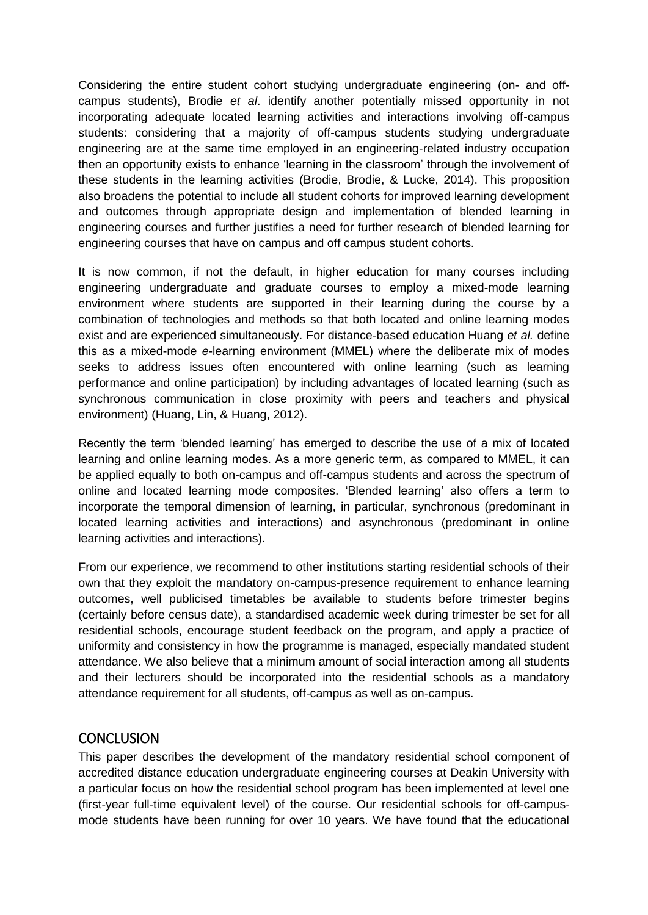Considering the entire student cohort studying undergraduate engineering (on- and offcampus students), Brodie *et al*. identify another potentially missed opportunity in not incorporating adequate located learning activities and interactions involving off-campus students: considering that a majority of off-campus students studying undergraduate engineering are at the same time employed in an engineering-related industry occupation then an opportunity exists to enhance 'learning in the classroom' through the involvement of these students in the learning activities (Brodie, Brodie, & Lucke, 2014). This proposition also broadens the potential to include all student cohorts for improved learning development and outcomes through appropriate design and implementation of blended learning in engineering courses and further justifies a need for further research of blended learning for engineering courses that have on campus and off campus student cohorts.

It is now common, if not the default, in higher education for many courses including engineering undergraduate and graduate courses to employ a mixed-mode learning environment where students are supported in their learning during the course by a combination of technologies and methods so that both located and online learning modes exist and are experienced simultaneously. For distance-based education Huang *et al.* define this as a mixed-mode *e*-learning environment (MMEL) where the deliberate mix of modes seeks to address issues often encountered with online learning (such as learning performance and online participation) by including advantages of located learning (such as synchronous communication in close proximity with peers and teachers and physical environment) (Huang, Lin, & Huang, 2012).

Recently the term 'blended learning' has emerged to describe the use of a mix of located learning and online learning modes. As a more generic term, as compared to MMEL, it can be applied equally to both on-campus and off-campus students and across the spectrum of online and located learning mode composites. 'Blended learning' also offers a term to incorporate the temporal dimension of learning, in particular, synchronous (predominant in located learning activities and interactions) and asynchronous (predominant in online learning activities and interactions).

From our experience, we recommend to other institutions starting residential schools of their own that they exploit the mandatory on-campus-presence requirement to enhance learning outcomes, well publicised timetables be available to students before trimester begins (certainly before census date), a standardised academic week during trimester be set for all residential schools, encourage student feedback on the program, and apply a practice of uniformity and consistency in how the programme is managed, especially mandated student attendance. We also believe that a minimum amount of social interaction among all students and their lecturers should be incorporated into the residential schools as a mandatory attendance requirement for all students, off-campus as well as on-campus.

#### **CONCLUSION**

This paper describes the development of the mandatory residential school component of accredited distance education undergraduate engineering courses at Deakin University with a particular focus on how the residential school program has been implemented at level one (first-year full-time equivalent level) of the course. Our residential schools for off-campusmode students have been running for over 10 years. We have found that the educational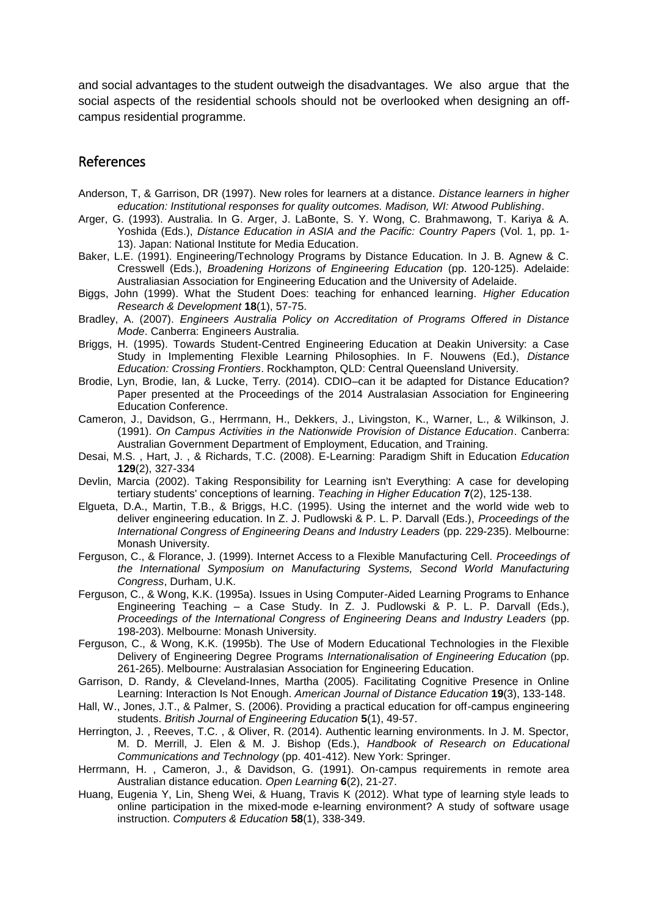and social advantages to the student outweigh the disadvantages. We also argue that the social aspects of the residential schools should not be overlooked when designing an offcampus residential programme.

### References

- Anderson, T, & Garrison, DR (1997). New roles for learners at a distance. *Distance learners in higher education: Institutional responses for quality outcomes. Madison, WI: Atwood Publishing*.
- Arger, G. (1993). Australia. In G. Arger, J. LaBonte, S. Y. Wong, C. Brahmawong, T. Kariya & A. Yoshida (Eds.), *Distance Education in ASIA and the Pacific: Country Papers* (Vol. 1, pp. 1- 13). Japan: National Institute for Media Education.
- Baker, L.E. (1991). Engineering/Technology Programs by Distance Education. In J. B. Agnew & C. Cresswell (Eds.), *Broadening Horizons of Engineering Education* (pp. 120-125). Adelaide: Australiasian Association for Engineering Education and the University of Adelaide.
- Biggs, John (1999). What the Student Does: teaching for enhanced learning. *Higher Education Research & Development* **18**(1), 57-75.
- Bradley, A. (2007). *Engineers Australia Policy on Accreditation of Programs Offered in Distance Mode*. Canberra: Engineers Australia.
- Briggs, H. (1995). Towards Student-Centred Engineering Education at Deakin University: a Case Study in Implementing Flexible Learning Philosophies. In F. Nouwens (Ed.), *Distance Education: Crossing Frontiers*. Rockhampton, QLD: Central Queensland University.
- Brodie, Lyn, Brodie, Ian, & Lucke, Terry. (2014). CDIO–can it be adapted for Distance Education? Paper presented at the Proceedings of the 2014 Australasian Association for Engineering Education Conference.
- Cameron, J., Davidson, G., Herrmann, H., Dekkers, J., Livingston, K., Warner, L., & Wilkinson, J. (1991). *On Campus Activities in the Nationwide Provision of Distance Education*. Canberra: Australian Government Department of Employment, Education, and Training.
- Desai, M.S. , Hart, J. , & Richards, T.C. (2008). E-Learning: Paradigm Shift in Education *Education*  **129**(2), 327-334
- Devlin, Marcia (2002). Taking Responsibility for Learning isn't Everything: A case for developing tertiary students' conceptions of learning. *Teaching in Higher Education* **7**(2), 125-138.
- Elgueta, D.A., Martin, T.B., & Briggs, H.C. (1995). Using the internet and the world wide web to deliver engineering education. In Z. J. Pudlowski & P. L. P. Darvall (Eds.), *Proceedings of the International Congress of Engineering Deans and Industry Leaders* (pp. 229-235). Melbourne: Monash University.
- Ferguson, C., & Florance, J. (1999). Internet Access to a Flexible Manufacturing Cell. *Proceedings of the International Symposium on Manufacturing Systems, Second World Manufacturing Congress*, Durham, U.K.
- Ferguson, C., & Wong, K.K. (1995a). Issues in Using Computer-Aided Learning Programs to Enhance Engineering Teaching – a Case Study. In Z. J. Pudlowski & P. L. P. Darvall (Eds.), *Proceedings of the International Congress of Engineering Deans and Industry Leaders* (pp. 198-203). Melbourne: Monash University.
- Ferguson, C., & Wong, K.K. (1995b). The Use of Modern Educational Technologies in the Flexible Delivery of Engineering Degree Programs *Internationalisation of Engineering Education* (pp. 261-265). Melbourne: Australasian Association for Engineering Education.
- Garrison, D. Randy, & Cleveland-Innes, Martha (2005). Facilitating Cognitive Presence in Online Learning: Interaction Is Not Enough. *American Journal of Distance Education* **19**(3), 133-148.
- Hall, W., Jones, J.T., & Palmer, S. (2006). Providing a practical education for off-campus engineering students. *British Journal of Engineering Education* **5**(1), 49-57.
- Herrington, J. , Reeves, T.C. , & Oliver, R. (2014). Authentic learning environments. In J. M. Spector, M. D. Merrill, J. Elen & M. J. Bishop (Eds.), *Handbook of Research on Educational Communications and Technology* (pp. 401-412). New York: Springer.
- Herrmann, H. , Cameron, J., & Davidson, G. (1991). On‐campus requirements in remote area Australian distance education. *Open Learning* **6**(2), 21-27.
- Huang, Eugenia Y, Lin, Sheng Wei, & Huang, Travis K (2012). What type of learning style leads to online participation in the mixed-mode e-learning environment? A study of software usage instruction. *Computers & Education* **58**(1), 338-349.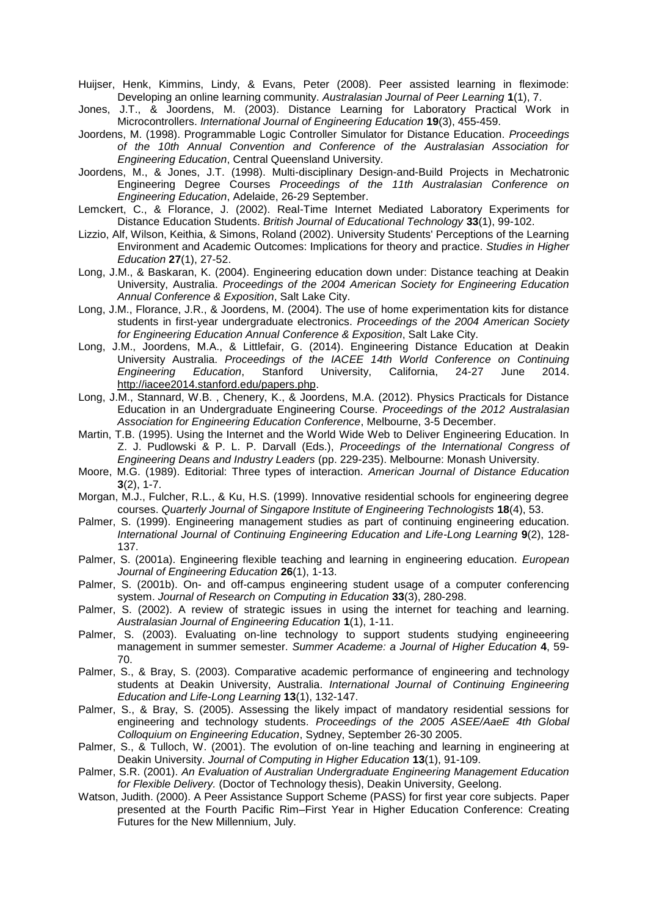Huijser, Henk, Kimmins, Lindy, & Evans, Peter (2008). Peer assisted learning in fleximode: Developing an online learning community. *Australasian Journal of Peer Learning* **1**(1), 7.

- Jones, J.T., & Joordens, M. (2003). Distance Learning for Laboratory Practical Work in Microcontrollers. *International Journal of Engineering Education* **19**(3), 455-459.
- Joordens, M. (1998). Programmable Logic Controller Simulator for Distance Education. *Proceedings of the 10th Annual Convention and Conference of the Australasian Association for Engineering Education*, Central Queensland University.
- Joordens, M., & Jones, J.T. (1998). Multi-disciplinary Design-and-Build Projects in Mechatronic Engineering Degree Courses *Proceedings of the 11th Australasian Conference on Engineering Education*, Adelaide, 26-29 September.
- Lemckert, C., & Florance, J. (2002). Real-Time Internet Mediated Laboratory Experiments for Distance Education Students. *British Journal of Educational Technology* **33**(1), 99-102.
- Lizzio, Alf, Wilson, Keithia, & Simons, Roland (2002). University Students' Perceptions of the Learning Environment and Academic Outcomes: Implications for theory and practice. *Studies in Higher Education* **27**(1), 27-52.
- Long, J.M., & Baskaran, K. (2004). Engineering education down under: Distance teaching at Deakin University, Australia. *Proceedings of the 2004 American Society for Engineering Education Annual Conference & Exposition*, Salt Lake City.
- Long, J.M., Florance, J.R., & Joordens, M. (2004). The use of home experimentation kits for distance students in first-year undergraduate electronics. *Proceedings of the 2004 American Society for Engineering Education Annual Conference & Exposition*, Salt Lake City.
- Long, J.M., Joordens, M.A., & Littlefair, G. (2014). Engineering Distance Education at Deakin University Australia. *Proceedings of the IACEE 14th World Conference on Continuing Engineering Education*, Stanford University, California, 24-27 June 2014. [http://iacee2014.stanford.edu/papers.php.](http://iacee2014.stanford.edu/papers.php)
- Long, J.M., Stannard, W.B. , Chenery, K., & Joordens, M.A. (2012). Physics Practicals for Distance Education in an Undergraduate Engineering Course. *Proceedings of the 2012 Australasian Association for Engineering Education Conference*, Melbourne, 3-5 December.
- Martin, T.B. (1995). Using the Internet and the World Wide Web to Deliver Engineering Education. In Z. J. Pudlowski & P. L. P. Darvall (Eds.), *Proceedings of the International Congress of Engineering Deans and Industry Leaders* (pp. 229-235). Melbourne: Monash University.
- Moore, M.G. (1989). Editorial: Three types of interaction. *American Journal of Distance Education*  **3**(2), 1-7.
- Morgan, M.J., Fulcher, R.L., & Ku, H.S. (1999). Innovative residential schools for engineering degree courses. *Quarterly Journal of Singapore Institute of Engineering Technologists* **18**(4), 53.
- Palmer, S. (1999). Engineering management studies as part of continuing engineering education. *International Journal of Continuing Engineering Education and Life-Long Learning* **9**(2), 128- 137.
- Palmer, S. (2001a). Engineering flexible teaching and learning in engineering education. *European Journal of Engineering Education* **26**(1), 1-13.
- Palmer, S. (2001b). On- and off-campus engineering student usage of a computer conferencing system. *Journal of Research on Computing in Education* **33**(3), 280-298.
- Palmer, S. (2002). A review of strategic issues in using the internet for teaching and learning. *Australasian Journal of Engineering Education* **1**(1), 1-11.
- Palmer, S. (2003). Evaluating on-line technology to support students studying engineeering management in summer semester. *Summer Academe: a Journal of Higher Education* **4**, 59- 70.
- Palmer, S., & Bray, S. (2003). Comparative academic performance of engineering and technology students at Deakin University, Australia. *International Journal of Continuing Engineering Education and Life-Long Learning* **13**(1), 132-147.
- Palmer, S., & Bray, S. (2005). Assessing the likely impact of mandatory residential sessions for engineering and technology students. *Proceedings of the 2005 ASEE/AaeE 4th Global Colloquium on Engineering Education*, Sydney, September 26-30 2005.
- Palmer, S., & Tulloch, W. (2001). The evolution of on-line teaching and learning in engineering at Deakin University. *Journal of Computing in Higher Education* **13**(1), 91-109.
- Palmer, S.R. (2001). *An Evaluation of Australian Undergraduate Engineering Management Education for Flexible Delivery.* (Doctor of Technology thesis), Deakin University, Geelong.
- Watson, Judith. (2000). A Peer Assistance Support Scheme (PASS) for first year core subjects*.* Paper presented at the Fourth Pacific Rim–First Year in Higher Education Conference: Creating Futures for the New Millennium, July.